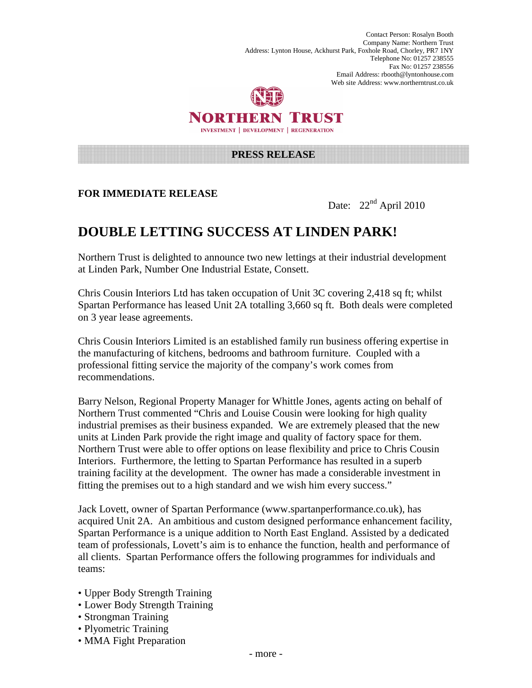Contact Person: Rosalyn Booth Company Name: Northern Trust Address: Lynton House, Ackhurst Park, Foxhole Road, Chorley, PR7 1NY Telephone No: 01257 238555 Fax No: 01257 238556 Email Address: rbooth@lyntonhouse.com Web site Address: www.northerntrust.co.uk



## NORTHERN TRUST **INVESTMENT | DEVELOPMENT | REGENERATION**

#### **PRESS RELEASE**

### **FOR IMMEDIATE RELEASE**

Date:  $22<sup>nd</sup>$  April 2010

# **DOUBLE LETTING SUCCESS AT LINDEN PARK!**

Northern Trust is delighted to announce two new lettings at their industrial development at Linden Park, Number One Industrial Estate, Consett.

Chris Cousin Interiors Ltd has taken occupation of Unit 3C covering 2,418 sq ft; whilst Spartan Performance has leased Unit 2A totalling 3,660 sq ft. Both deals were completed on 3 year lease agreements.

Chris Cousin Interiors Limited is an established family run business offering expertise in the manufacturing of kitchens, bedrooms and bathroom furniture. Coupled with a professional fitting service the majority of the company's work comes from recommendations.

Barry Nelson, Regional Property Manager for Whittle Jones, agents acting on behalf of Northern Trust commented "Chris and Louise Cousin were looking for high quality industrial premises as their business expanded. We are extremely pleased that the new units at Linden Park provide the right image and quality of factory space for them. Northern Trust were able to offer options on lease flexibility and price to Chris Cousin Interiors. Furthermore, the letting to Spartan Performance has resulted in a superb training facility at the development. The owner has made a considerable investment in fitting the premises out to a high standard and we wish him every success."

Jack Lovett, owner of Spartan Performance (www.spartanperformance.co.uk), has acquired Unit 2A. An ambitious and custom designed performance enhancement facility, Spartan Performance is a unique addition to North East England. Assisted by a dedicated team of professionals, Lovett's aim is to enhance the function, health and performance of all clients. Spartan Performance offers the following programmes for individuals and teams:

- Upper Body Strength Training
- Lower Body Strength Training
- Strongman Training
- Plyometric Training
- MMA Fight Preparation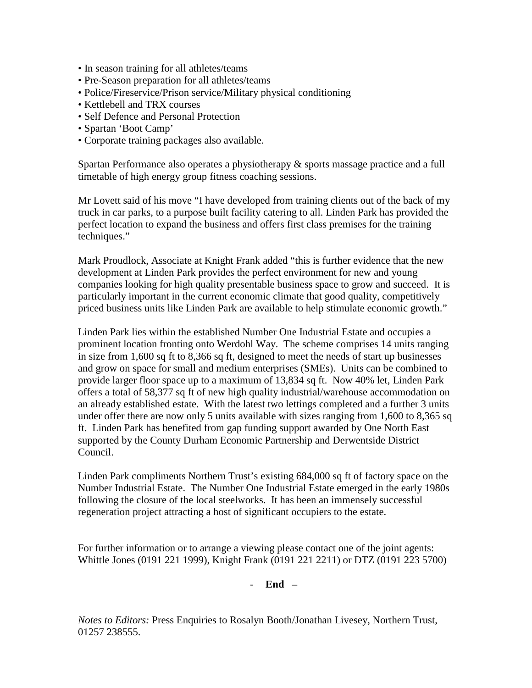- In season training for all athletes/teams
- Pre-Season preparation for all athletes/teams
- Police/Fireservice/Prison service/Military physical conditioning
- Kettlebell and TRX courses
- Self Defence and Personal Protection
- Spartan 'Boot Camp'
- Corporate training packages also available.

Spartan Performance also operates a physiotherapy & sports massage practice and a full timetable of high energy group fitness coaching sessions.

Mr Lovett said of his move "I have developed from training clients out of the back of my truck in car parks, to a purpose built facility catering to all. Linden Park has provided the perfect location to expand the business and offers first class premises for the training techniques."

Mark Proudlock, Associate at Knight Frank added "this is further evidence that the new development at Linden Park provides the perfect environment for new and young companies looking for high quality presentable business space to grow and succeed. It is particularly important in the current economic climate that good quality, competitively priced business units like Linden Park are available to help stimulate economic growth."

Linden Park lies within the established Number One Industrial Estate and occupies a prominent location fronting onto Werdohl Way. The scheme comprises 14 units ranging in size from 1,600 sq ft to 8,366 sq ft, designed to meet the needs of start up businesses and grow on space for small and medium enterprises (SMEs). Units can be combined to provide larger floor space up to a maximum of 13,834 sq ft. Now 40% let, Linden Park offers a total of 58,377 sq ft of new high quality industrial/warehouse accommodation on an already established estate. With the latest two lettings completed and a further 3 units under offer there are now only 5 units available with sizes ranging from 1,600 to 8,365 sq ft. Linden Park has benefited from gap funding support awarded by One North East supported by the County Durham Economic Partnership and Derwentside District Council.

Linden Park compliments Northern Trust's existing 684,000 sq ft of factory space on the Number Industrial Estate. The Number One Industrial Estate emerged in the early 1980s following the closure of the local steelworks. It has been an immensely successful regeneration project attracting a host of significant occupiers to the estate.

For further information or to arrange a viewing please contact one of the joint agents: Whittle Jones (0191 221 1999), Knight Frank (0191 221 2211) or DTZ (0191 223 5700)

- **End –** 

*Notes to Editors:* Press Enquiries to Rosalyn Booth/Jonathan Livesey, Northern Trust, 01257 238555.